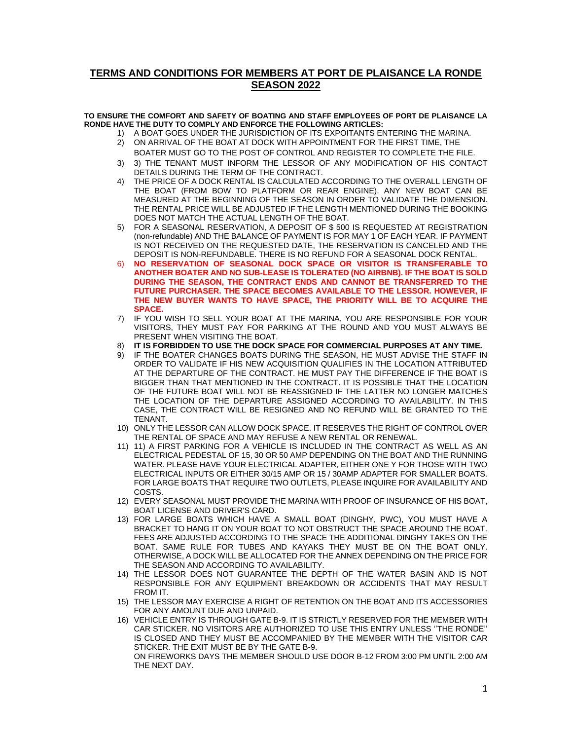## **TERMS AND CONDITIONS FOR MEMBERS AT PORT DE PLAISANCE LA RONDE SEASON 2022**

## **TO ENSURE THE COMFORT AND SAFETY OF BOATING AND STAFF EMPLOYEES OF PORT DE PLAISANCE LA RONDE HAVE THE DUTY TO COMPLY AND ENFORCE THE FOLLOWING ARTICLES:**

A BOAT GOES UNDER THE JURISDICTION OF ITS EXPOITANTS ENTERING THE MARINA.

- 2) ON ARRIVAL OF THE BOAT AT DOCK WITH APPOINTMENT FOR THE FIRST TIME, THE BOATER MUST GO TO THE POST OF CONTROL AND REGISTER TO COMPLETE THE FILE.
- 3) 3) THE TENANT MUST INFORM THE LESSOR OF ANY MODIFICATION OF HIS CONTACT DETAILS DURING THE TERM OF THE CONTRACT.
- 4) THE PRICE OF A DOCK RENTAL IS CALCULATED ACCORDING TO THE OVERALL LENGTH OF THE BOAT (FROM BOW TO PLATFORM OR REAR ENGINE). ANY NEW BOAT CAN BE MEASURED AT THE BEGINNING OF THE SEASON IN ORDER TO VALIDATE THE DIMENSION. THE RENTAL PRICE WILL BE ADJUSTED IF THE LENGTH MENTIONED DURING THE BOOKING DOES NOT MATCH THE ACTUAL LENGTH OF THE BOAT.
- 5) FOR A SEASONAL RESERVATION, A DEPOSIT OF \$ 500 IS REQUESTED AT REGISTRATION (non-refundable) AND THE BALANCE OF PAYMENT IS FOR MAY 1 OF EACH YEAR. IF PAYMENT IS NOT RECEIVED ON THE REQUESTED DATE, THE RESERVATION IS CANCELED AND THE DEPOSIT IS NON-REFUNDABLE. THERE IS NO REFUND FOR A SEASONAL DOCK RENTAL.
- 6) **NO RESERVATION OF SEASONAL DOCK SPACE OR VISITOR IS TRANSFERABLE TO ANOTHER BOATER AND NO SUB-LEASE IS TOLERATED (NO AIRBNB). IF THE BOAT IS SOLD DURING THE SEASON, THE CONTRACT ENDS AND CANNOT BE TRANSFERRED TO THE FUTURE PURCHASER. THE SPACE BECOMES AVAILABLE TO THE LESSOR. HOWEVER, IF THE NEW BUYER WANTS TO HAVE SPACE, THE PRIORITY WILL BE TO ACQUIRE THE SPACE.**
- 7) IF YOU WISH TO SELL YOUR BOAT AT THE MARINA, YOU ARE RESPONSIBLE FOR YOUR VISITORS, THEY MUST PAY FOR PARKING AT THE ROUND AND YOU MUST ALWAYS BE PRESENT WHEN VISITING THE BOAT.
- 8) **IT IS FORBIDDEN TO USE THE DOCK SPACE FOR COMMERCIAL PURPOSES AT ANY TIME.**
- 9) IF THE BOATER CHANGES BOATS DURING THE SEASON, HE MUST ADVISE THE STAFF IN ORDER TO VALIDATE IF HIS NEW ACQUISITION QUALIFIES IN THE LOCATION ATTRIBUTED AT THE DEPARTURE OF THE CONTRACT. HE MUST PAY THE DIFFERENCE IF THE BOAT IS BIGGER THAN THAT MENTIONED IN THE CONTRACT. IT IS POSSIBLE THAT THE LOCATION OF THE FUTURE BOAT WILL NOT BE REASSIGNED IF THE LATTER NO LONGER MATCHES THE LOCATION OF THE DEPARTURE ASSIGNED ACCORDING TO AVAILABILITY. IN THIS CASE, THE CONTRACT WILL BE RESIGNED AND NO REFUND WILL BE GRANTED TO THE TENANT.
- 10) ONLY THE LESSOR CAN ALLOW DOCK SPACE. IT RESERVES THE RIGHT OF CONTROL OVER THE RENTAL OF SPACE AND MAY REFUSE A NEW RENTAL OR RENEWAL.
- 11) 11) A FIRST PARKING FOR A VEHICLE IS INCLUDED IN THE CONTRACT AS WELL AS AN ELECTRICAL PEDESTAL OF 15, 30 OR 50 AMP DEPENDING ON THE BOAT AND THE RUNNING WATER. PLEASE HAVE YOUR ELECTRICAL ADAPTER, EITHER ONE Y FOR THOSE WITH TWO ELECTRICAL INPUTS OR EITHER 30/15 AMP OR 15 / 30AMP ADAPTER FOR SMALLER BOATS. FOR LARGE BOATS THAT REQUIRE TWO OUTLETS, PLEASE INQUIRE FOR AVAILABILITY AND COSTS.
- 12) EVERY SEASONAL MUST PROVIDE THE MARINA WITH PROOF OF INSURANCE OF HIS BOAT, BOAT LICENSE AND DRIVER'S CARD.
- 13) FOR LARGE BOATS WHICH HAVE A SMALL BOAT (DINGHY, PWC), YOU MUST HAVE A BRACKET TO HANG IT ON YOUR BOAT TO NOT OBSTRUCT THE SPACE AROUND THE BOAT. FEES ARE ADJUSTED ACCORDING TO THE SPACE THE ADDITIONAL DINGHY TAKES ON THE BOAT. SAME RULE FOR TUBES AND KAYAKS THEY MUST BE ON THE BOAT ONLY. OTHERWISE, A DOCK WILL BE ALLOCATED FOR THE ANNEX DEPENDING ON THE PRICE FOR THE SEASON AND ACCORDING TO AVAILABILITY.
- 14) THE LESSOR DOES NOT GUARANTEE THE DEPTH OF THE WATER BASIN AND IS NOT RESPONSIBLE FOR ANY EQUIPMENT BREAKDOWN OR ACCIDENTS THAT MAY RESULT FROM IT.
- 15) THE LESSOR MAY EXERCISE A RIGHT OF RETENTION ON THE BOAT AND ITS ACCESSORIES FOR ANY AMOUNT DUE AND UNPAID.
- 16) VEHICLE ENTRY IS THROUGH GATE B-9. IT IS STRICTLY RESERVED FOR THE MEMBER WITH CAR STICKER. NO VISITORS ARE AUTHORIZED TO USE THIS ENTRY UNLESS ''THE RONDE'' IS CLOSED AND THEY MUST BE ACCOMPANIED BY THE MEMBER WITH THE VISITOR CAR STICKER. THE EXIT MUST BE BY THE GATE B-9. ON FIREWORKS DAYS THE MEMBER SHOULD USE DOOR B-12 FROM 3:00 PM UNTIL 2:00 AM THE NEXT DAY.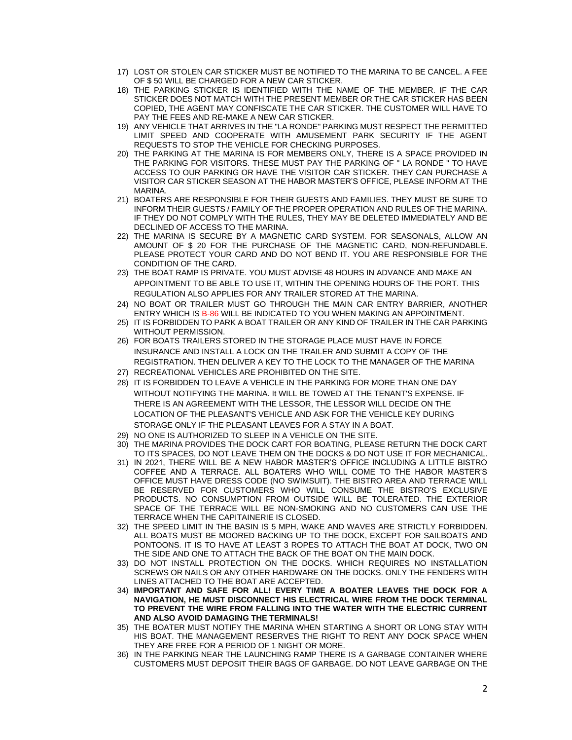- 17) LOST OR STOLEN CAR STICKER MUST BE NOTIFIED TO THE MARINA TO BE CANCEL. A FEE OF \$ 50 WILL BE CHARGED FOR A NEW CAR STICKER.
- 18) THE PARKING STICKER IS IDENTIFIED WITH THE NAME OF THE MEMBER. IF THE CAR STICKER DOES NOT MATCH WITH THE PRESENT MEMBER OR THE CAR STICKER HAS BEEN COPIED, THE AGENT MAY CONFISCATE THE CAR STICKER. THE CUSTOMER WILL HAVE TO PAY THE FEES AND RE-MAKE A NEW CAR STICKER.
- 19) ANY VEHICLE THAT ARRIVES IN THE "LA RONDE" PARKING MUST RESPECT THE PERMITTED LIMIT SPEED AND COOPERATE WITH AMUSEMENT PARK SECURITY IF THE AGENT REQUESTS TO STOP THE VEHICLE FOR CHECKING PURPOSES.
- 20) THE PARKING AT THE MARINA IS FOR MEMBERS ONLY, THERE IS A SPACE PROVIDED IN THE PARKING FOR VISITORS. THESE MUST PAY THE PARKING OF '' LA RONDE '' TO HAVE ACCESS TO OUR PARKING OR HAVE THE VISITOR CAR STICKER. THEY CAN PURCHASE A VISITOR CAR STICKER SEASON AT THE HABOR MASTER'S OFFICE, PLEASE INFORM AT THE MARINA.
- 21) BOATERS ARE RESPONSIBLE FOR THEIR GUESTS AND FAMILIES. THEY MUST BE SURE TO INFORM THEIR GUESTS / FAMILY OF THE PROPER OPERATION AND RULES OF THE MARINA. IF THEY DO NOT COMPLY WITH THE RULES, THEY MAY BE DELETED IMMEDIATELY AND BE DECLINED OF ACCESS TO THE MARINA.
- 22) THE MARINA IS SECURE BY A MAGNETIC CARD SYSTEM. FOR SEASONALS, ALLOW AN AMOUNT OF \$ 20 FOR THE PURCHASE OF THE MAGNETIC CARD, NON-REFUNDABLE. PLEASE PROTECT YOUR CARD AND DO NOT BEND IT. YOU ARE RESPONSIBLE FOR THE CONDITION OF THE CARD.
- 23) THE BOAT RAMP IS PRIVATE. YOU MUST ADVISE 48 HOURS IN ADVANCE AND MAKE AN APPOINTMENT TO BE ABLE TO USE IT, WITHIN THE OPENING HOURS OF THE PORT. THIS REGULATION ALSO APPLIES FOR ANY TRAILER STORED AT THE MARINA.
- 24) NO BOAT OR TRAILER MUST GO THROUGH THE MAIN CAR ENTRY BARRIER, ANOTHER ENTRY WHICH IS B-86 WILL BE INDICATED TO YOU WHEN MAKING AN APPOINTMENT.
- 25) IT IS FORBIDDEN TO PARK A BOAT TRAILER OR ANY KIND OF TRAILER IN THE CAR PARKING WITHOUT PERMISSION.
- 26) FOR BOATS TRAILERS STORED IN THE STORAGE PLACE MUST HAVE IN FORCE INSURANCE AND INSTALL A LOCK ON THE TRAILER AND SUBMIT A COPY OF THE REGISTRATION. THEN DELIVER A KEY TO THE LOCK TO THE MANAGER OF THE MARINA
- 27) RECREATIONAL VEHICLES ARE PROHIBITED ON THE SITE.
- 28) IT IS FORBIDDEN TO LEAVE A VEHICLE IN THE PARKING FOR MORE THAN ONE DAY WITHOUT NOTIFYING THE MARINA. It WILL BE TOWED AT THE TENANT'S EXPENSE. IF THERE IS AN AGREEMENT WITH THE LESSOR, THE LESSOR WILL DECIDE ON THE LOCATION OF THE PLEASANT'S VEHICLE AND ASK FOR THE VEHICLE KEY DURING STORAGE ONLY IF THE PLEASANT LEAVES FOR A STAY IN A BOAT.
- 29) NO ONE IS AUTHORIZED TO SLEEP IN A VEHICLE ON THE SITE.
- 30) THE MARINA PROVIDES THE DOCK CART FOR BOATING, PLEASE RETURN THE DOCK CART TO ITS SPACES, DO NOT LEAVE THEM ON THE DOCKS & DO NOT USE IT FOR MECHANICAL.
- 31) IN 2021, THERE WILL BE A NEW HABOR MASTER'S OFFICE INCLUDING A LITTLE BISTRO COFFEE AND A TERRACE. ALL BOATERS WHO WILL COME TO THE HABOR MASTER'S OFFICE MUST HAVE DRESS CODE (NO SWIMSUIT). THE BISTRO AREA AND TERRACE WILL BE RESERVED FOR CUSTOMERS WHO WILL CONSUME THE BISTRO'S EXCLUSIVE PRODUCTS. NO CONSUMPTION FROM OUTSIDE WILL BE TOLERATED. THE EXTERIOR SPACE OF THE TERRACE WILL BE NON-SMOKING AND NO CUSTOMERS CAN USE THE TERRACE WHEN THE CAPITAINERIE IS CLOSED.
- 32) THE SPEED LIMIT IN THE BASIN IS 5 MPH, WAKE AND WAVES ARE STRICTLY FORBIDDEN. ALL BOATS MUST BE MOORED BACKING UP TO THE DOCK, EXCEPT FOR SAILBOATS AND PONTOONS. IT IS TO HAVE AT LEAST 3 ROPES TO ATTACH THE BOAT AT DOCK, TWO ON THE SIDE AND ONE TO ATTACH THE BACK OF THE BOAT ON THE MAIN DOCK.
- 33) DO NOT INSTALL PROTECTION ON THE DOCKS. WHICH REQUIRES NO INSTALLATION SCREWS OR NAILS OR ANY OTHER HARDWARE ON THE DOCKS. ONLY THE FENDERS WITH LINES ATTACHED TO THE BOAT ARE ACCEPTED.
- 34) **IMPORTANT AND SAFE FOR ALL! EVERY TIME A BOATER LEAVES THE DOCK FOR A NAVIGATION, HE MUST DISCONNECT HIS ELECTRICAL WIRE FROM THE DOCK TERMINAL TO PREVENT THE WIRE FROM FALLING INTO THE WATER WITH THE ELECTRIC CURRENT AND ALSO AVOID DAMAGING THE TERMINALS!**
- 35) THE BOATER MUST NOTIFY THE MARINA WHEN STARTING A SHORT OR LONG STAY WITH HIS BOAT. THE MANAGEMENT RESERVES THE RIGHT TO RENT ANY DOCK SPACE WHEN THEY ARE FREE FOR A PERIOD OF 1 NIGHT OR MORE.
- 36) IN THE PARKING NEAR THE LAUNCHING RAMP THERE IS A GARBAGE CONTAINER WHERE CUSTOMERS MUST DEPOSIT THEIR BAGS OF GARBAGE. DO NOT LEAVE GARBAGE ON THE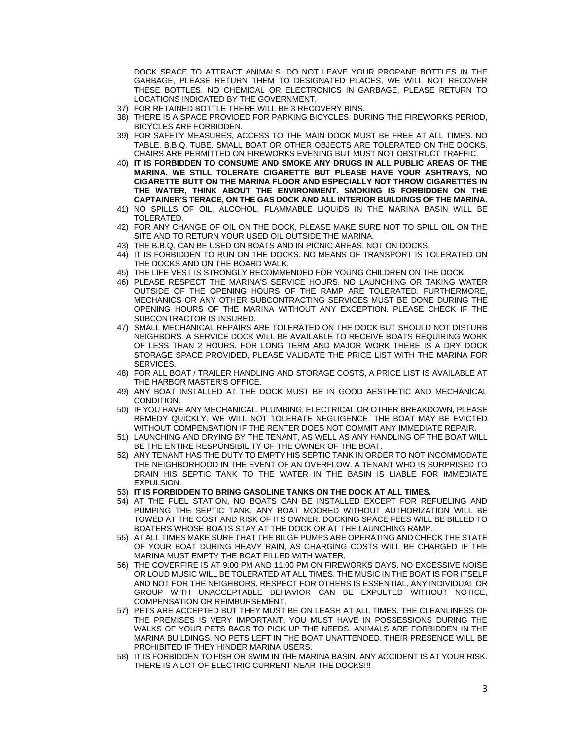DOCK SPACE TO ATTRACT ANIMALS. DO NOT LEAVE YOUR PROPANE BOTTLES IN THE GARBAGE, PLEASE RETURN THEM TO DESIGNATED PLACES, WE WILL NOT RECOVER THESE BOTTLES. NO CHEMICAL OR ELECTRONICS IN GARBAGE, PLEASE RETURN TO LOCATIONS INDICATED BY THE GOVERNMENT.

- 37) FOR RETAINED BOTTLE THERE WILL BE 3 RECOVERY BINS.
- 38) THERE IS A SPACE PROVIDED FOR PARKING BICYCLES. DURING THE FIREWORKS PERIOD, BICYCLES ARE FORBIDDEN.
- 39) FOR SAFETY MEASURES, ACCESS TO THE MAIN DOCK MUST BE FREE AT ALL TIMES. NO TABLE, B.B.Q, TUBE, SMALL BOAT OR OTHER OBJECTS ARE TOLERATED ON THE DOCKS. CHAIRS ARE PERMITTED ON FIREWORKS EVENING BUT MUST NOT OBSTRUCT TRAFFIC.
- 40) **IT IS FORBIDDEN TO CONSUME AND SMOKE ANY DRUGS IN ALL PUBLIC AREAS OF THE MARINA. WE STILL TOLERATE CIGARETTE BUT PLEASE HAVE YOUR ASHTRAYS, NO CIGARETTE BUTT ON THE MARINA FLOOR AND ESPECIALLY NOT THROW CIGARETTES IN THE WATER, THINK ABOUT THE ENVIRONMENT. SMOKING IS FORBIDDEN ON THE CAPTAINER'S TERACE, ON THE GAS DOCK AND ALL INTERIOR BUILDINGS OF THE MARINA.**
- 41) NO SPILLS OF OIL, ALCOHOL, FLAMMABLE LIQUIDS IN THE MARINA BASIN WILL BE TOLERATED.
- 42) FOR ANY CHANGE OF OIL ON THE DOCK, PLEASE MAKE SURE NOT TO SPILL OIL ON THE SITE AND TO RETURN YOUR USED OIL OUTSIDE THE MARINA.
- 43) THE B.B.Q. CAN BE USED ON BOATS AND IN PICNIC AREAS, NOT ON DOCKS.
- 44) IT IS FORBIDDEN TO RUN ON THE DOCKS. NO MEANS OF TRANSPORT IS TOLERATED ON THE DOCKS AND ON THE BOARD WALK.
- 45) THE LIFE VEST IS STRONGLY RECOMMENDED FOR YOUNG CHILDREN ON THE DOCK.
- 46) PLEASE RESPECT THE MARINA'S SERVICE HOURS. NO LAUNCHING OR TAKING WATER OUTSIDE OF THE OPENING HOURS OF THE RAMP ARE TOLERATED. FURTHERMORE, MECHANICS OR ANY OTHER SUBCONTRACTING SERVICES MUST BE DONE DURING THE OPENING HOURS OF THE MARINA WITHOUT ANY EXCEPTION. PLEASE CHECK IF THE SUBCONTRACTOR IS INSURED.
- 47) SMALL MECHANICAL REPAIRS ARE TOLERATED ON THE DOCK BUT SHOULD NOT DISTURB NEIGHBORS. A SERVICE DOCK WILL BE AVAILABLE TO RECEIVE BOATS REQUIRING WORK OF LESS THAN 2 HOURS. FOR LONG TERM AND MAJOR WORK THERE IS A DRY DOCK STORAGE SPACE PROVIDED, PLEASE VALIDATE THE PRICE LIST WITH THE MARINA FOR SERVICES.
- 48) FOR ALL BOAT / TRAILER HANDLING AND STORAGE COSTS, A PRICE LIST IS AVAILABLE AT THE HARBOR MASTER'S OFFICE.
- 49) ANY BOAT INSTALLED AT THE DOCK MUST BE IN GOOD AESTHETIC AND MECHANICAL CONDITION.
- 50) IF YOU HAVE ANY MECHANICAL, PLUMBING, ELECTRICAL OR OTHER BREAKDOWN, PLEASE REMEDY QUICKLY. WE WILL NOT TOLERATE NEGLIGENCE. THE BOAT MAY BE EVICTED WITHOUT COMPENSATION IF THE RENTER DOES NOT COMMIT ANY IMMEDIATE REPAIR.
- 51) LAUNCHING AND DRYING BY THE TENANT, AS WELL AS ANY HANDLING OF THE BOAT WILL BE THE ENTIRE RESPONSIBILITY OF THE OWNER OF THE BOAT.
- 52) ANY TENANT HAS THE DUTY TO EMPTY HIS SEPTIC TANK IN ORDER TO NOT INCOMMODATE THE NEIGHBORHOOD IN THE EVENT OF AN OVERFLOW. A TENANT WHO IS SURPRISED TO DRAIN HIS SEPTIC TANK TO THE WATER IN THE BASIN IS LIABLE FOR IMMEDIATE EXPULSION.
- 53) **IT IS FORBIDDEN TO BRING GASOLINE TANKS ON THE DOCK AT ALL TIMES.**
- 54) AT THE FUEL STATION, NO BOATS CAN BE INSTALLED EXCEPT FOR REFUELING AND PUMPING THE SEPTIC TANK. ANY BOAT MOORED WITHOUT AUTHORIZATION WILL BE TOWED AT THE COST AND RISK OF ITS OWNER. DOCKING SPACE FEES WILL BE BILLED TO BOATERS WHOSE BOATS STAY AT THE DOCK OR AT THE LAUNCHING RAMP.
- 55) AT ALL TIMES MAKE SURE THAT THE BILGE PUMPS ARE OPERATING AND CHECK THE STATE OF YOUR BOAT DURING HEAVY RAIN, AS CHARGING COSTS WILL BE CHARGED IF THE MARINA MUST EMPTY THE BOAT FILLED WITH WATER.
- 56) THE COVERFIRE IS AT 9:00 PM AND 11:00 PM ON FIREWORKS DAYS. NO EXCESSIVE NOISE OR LOUD MUSIC WILL BE TOLERATED AT ALL TIMES. THE MUSIC IN THE BOAT IS FOR ITSELF AND NOT FOR THE NEIGHBORS. RESPECT FOR OTHERS IS ESSENTIAL. ANY INDIVIDUAL OR GROUP WITH UNACCEPTABLE BEHAVIOR CAN BE EXPULTED WITHOUT NOTICE, COMPENSATION OR REIMBURSEMENT.
- 57) PETS ARE ACCEPTED BUT THEY MUST BE ON LEASH AT ALL TIMES. THE CLEANLINESS OF THE PREMISES IS VERY IMPORTANT, YOU MUST HAVE IN POSSESSIONS DURING THE WALKS OF YOUR PETS BAGS TO PICK UP THE NEEDS. ANIMALS ARE FORBIDDEN IN THE MARINA BUILDINGS. NO PETS LEFT IN THE BOAT UNATTENDED. THEIR PRESENCE WILL BE PROHIBITED IF THEY HINDER MARINA USERS.
- 58) IT IS FORBIDDEN TO FISH OR SWIM IN THE MARINA BASIN. ANY ACCIDENT IS AT YOUR RISK. THERE IS A LOT OF ELECTRIC CURRENT NEAR THE DOCKS!!!